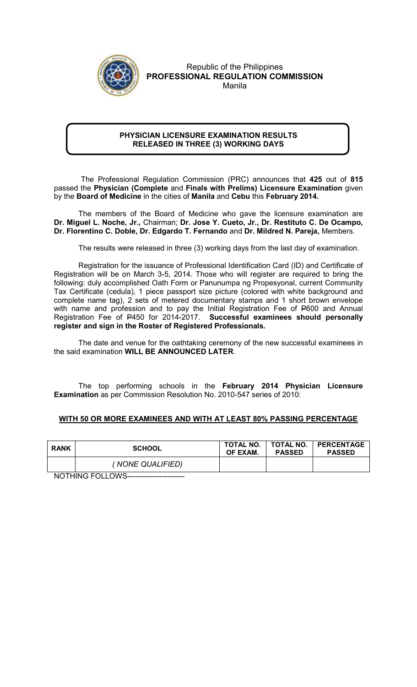

## Republic of the Philippines PROFESSIONAL REGULATION COMMISSION Manila

## PHYSICIAN LICENSURE EXAMINATION RESULTS RELEASED IN THREE (3) WORKING DAYS

 The Professional Regulation Commission (PRC) announces that 425 out of 815 passed the Physician (Complete and Finals with Prelims) Licensure Examination given by the Board of Medicine in the cities of Manila and Cebu this February 2014.

The members of the Board of Medicine who gave the licensure examination are Dr. Miguel L. Noche, Jr., Chairman; Dr. Jose Y. Cueto, Jr., Dr. Restituto C. De Ocampo, Dr. Florentino C. Doble, Dr. Edgardo T. Fernando and Dr. Mildred N. Pareja, Members.

The results were released in three (3) working days from the last day of examination.

 Registration for the issuance of Professional Identification Card (ID) and Certificate of Registration will be on March 3-5, 2014. Those who will register are required to bring the following: duly accomplished Oath Form or Panunumpa ng Propesyonal, current Community Tax Certificate (cedula), 1 piece passport size picture (colored with white background and complete name tag), 2 sets of metered documentary stamps and 1 short brown envelope with name and profession and to pay the Initial Registration Fee of P600 and Annual Registration Fee of P450 for 2014-2017. Successful examinees should personally register and sign in the Roster of Registered Professionals.

The date and venue for the oathtaking ceremony of the new successful examinees in the said examination WILL BE ANNOUNCED LATER.

The top performing schools in the February 2014 Physician Licensure Examination as per Commission Resolution No. 2010-547 series of 2010:

## WITH 50 OR MORE EXAMINEES AND WITH AT LEAST 80% PASSING PERCENTAGE

| <b>RANK</b> | <b>SCHOOL</b>    | TOTAL NO.<br>OF EXAM. | <b>PASSED</b> | TOTAL NO.   PERCENTAGE<br><b>PASSED</b> |
|-------------|------------------|-----------------------|---------------|-----------------------------------------|
|             | (NONE QUALIFIED) |                       |               |                                         |

NOTHING FOLLOWS-----------------------